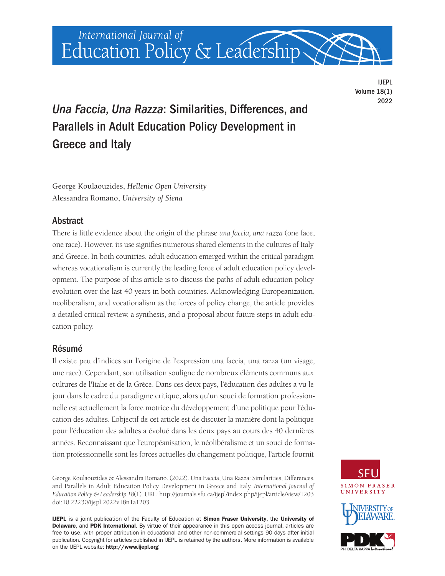

IJEPL Volume 18(1) 2022

# *Una Faccia, Una Razza*: Similarities, Differences, and Parallels in Adult Education Policy Development in Greece and Italy

George Koulaouzides, *Hellenic Open University* Alessandra Romano, *University of Siena*

# Abstract

There is little evidence about the origin of the phrase *una faccia, una razza* (one face, one race). However, its use signifies numerous shared elements in the cultures of Italy and Greece. In both countries, adult education emerged within the critical paradigm whereas vocationalism is currently the leading force of adult education policy development. The purpose of this article is to discuss the paths of adult education policy evolution over the last 40 years in both countries. Acknowledging Europeanization, neoliberalism, and vocationalism as the forces of policy change, the article provides a detailed critical review, a synthesis, and a proposal about future steps in adult education policy.

# Résumé

Il existe peu d'indices sur l'origine de l'expression una faccia, una razza (un visage, une race). Cependant, son utilisation souligne de nombreux éléments communs aux cultures de l'Italie et de la Grèce. Dans ces deux pays, l'éducation des adultes a vu le jour dans le cadre du paradigme critique, alors qu'un souci de formation professionnelle est actuellement la force motrice du développement d'une politique pour l'éducation des adultes. L'objectif de cet article est de discuter la manière dont la politique pour l'éducation des adultes a évolué dans les deux pays au cours des 40 dernières années. Reconnaissant que l'européanisation, le néolibéralisme et un souci de formation professionnelle sont les forces actuelles du changement politique, l'article fournit

George Koulaouzides & Alessandra Romano. (2022). Una Faccia, Una Razza: Similarities, Differences, and Parallels in Adult Education Policy Development in Greece and Italy. *International Journal of Education Policy & Leadership 18*(1). URL: [http://journals.sfu.ca/ijepl/index.php/ijepl/article/view/1203](http://journals.sfu.ca/ijepl/index.php/ijepl/article/view/1203 )  doi[:10.22230/ijepl.2022v18n1a1203](https://doi.org/10.22230/ijepl.2022v18n1a1203) 

IJEPL is a joint publication of the Faculty of Education at Simon Fraser University, the University of Delaware, and PDK International. By virtue of their appearance in this open access journal, articles are free to use, with proper attribution in educational and other non-commercial settings 90 days after initial publication. Copyright for articles published in IJEPL is retained by the authors. More information is available on the IJEPL website: <http://www.ijepl.org>





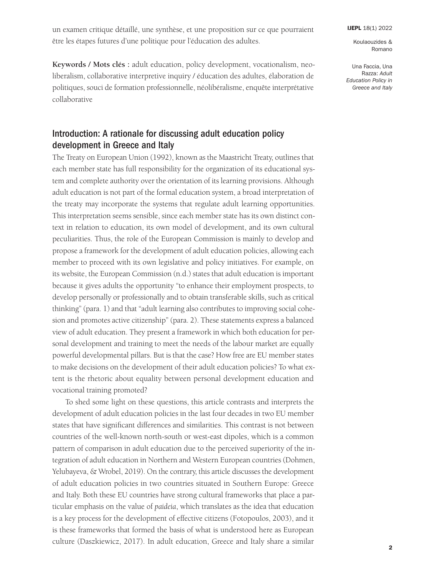un examen critique détaillé, une synthèse, et une proposition sur ce que pourraient être les étapes futures d'une politique pour l'éducation des adultes.

Koulaouzides & Romano

Una Faccia, Una Razza: *Adult Education Policy in Greece and Italy*

**Keywords / Mots clés :** adult education, policy development, vocationalism, neoliberalism, collaborative interpretive inquiry / éducation des adultes, élaboration de politiques, souci de formation professionnelle, néolibéralisme, enquête interprétative collaborative

# Introduction: A rationale for discussing adult education policy development in Greece and Italy

The Treaty on European Union (1992), known as the Maastricht Treaty, outlines that each member state has full responsibility for the organization of its educational system and complete authority over the orientation of its learning provisions. Although adult education is not part of the formal education system, a broad interpretation of the treaty may incorporate the systems that regulate adult learning opportunities. This interpretation seems sensible, since each member state has its own distinct context in relation to education, its own model of development, and its own cultural peculiarities. Thus, the role of the European Commission is mainly to develop and propose a framework for the development of adult education policies, allowing each member to proceed with its own legislative and policy initiatives. For example, on its website, the European Commission (n.d.) states that adult education is important because it gives adults the opportunity "to enhance their employment prospects, to develop personally or professionally and to obtain transferable skills, such as critical thinking" (para. 1) and that "adult learning also contributes to improving social cohesion and promotes active citizenship" (para. 2). These statements express a balanced view of adult education. They present a framework in which both education for personal development and training to meet the needs of the labour market are equally powerful developmental pillars. But is that the case? How free are EU member states to make decisions on the development of their adult education policies? To what extent is the rhetoric about equality between personal development education and vocational training promoted?

To shed some light on these questions, this article contrasts and interprets the development of adult education policies in the last four decades in two EU member states that have significant differences and similarities. This contrast is not between countries of the well-known north-south or west-east dipoles, which is a common pattern of comparison in adult education due to the perceived superiority of the integration of adult education in Northern and Western European countries (Dohmen, Yelubayeva, & Wrobel, 2019). On the contrary, this article discusses the development of adult education policies in two countries situated in Southern Europe: Greece and Italy. Both these EU countries have strong cultural frameworks that place a particular emphasis on the value of *paideia*, which translates as the idea that education is a key process for the development of effective citizens (Fotopoulos, 2003), and it is these frameworks that formed the basis of what is understood here as European culture (Daszkiewicz, 2017). In adult education, Greece and Italy share a similar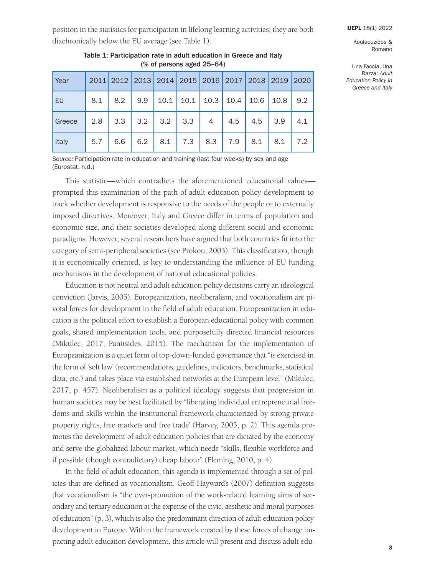Una Faccia, Una Razza: *Adult Education Policy in Greece and Italy*

position in the statistics for participation in lifelong learning activities; they are both diachronically below the EU average (see Table 1).

| Year   |     |     | 2011 2012 2013 2014 2015 2016 2017 2018 2019 |      |     |                       |      |      |      | 2020 |
|--------|-----|-----|----------------------------------------------|------|-----|-----------------------|------|------|------|------|
| EU     | 8.1 | 8.2 | 9.9                                          | 10.1 |     | $10.1 \mid 10.3 \mid$ | 10.4 | 10.6 | 10.8 | 9.2  |
| Greece | 2.8 | 3.3 | 3.2                                          | 3.2  | 3.3 | $\overline{4}$        | 4.5  | 4.5  | 3.9  | 4.1  |
| Italy  | 5.7 | 6.6 | 6.2                                          | 8.1  | 7.3 | 8.3                   | 7.9  | 8.1  | 8.1  | 7.2  |

Table 1: Participation rate in adult education in Greece and Italy (% of persons aged 25–64)

*Source:* Participation rate in education and training (last four weeks) by sex and age (Eurostat, n.d.)

This statistic—which contradicts the aforementioned educational values prompted this examination of the path of adult education policy development to track whether development is responsive to the needs of the people or to externally imposed directives. Moreover, Italy and Greece differ in terms of population and economic size, and their societies developed along different social and economic paradigms. However, several researchers have argued that both countries fit into the category of semi-peripheral societies (see Prokou, 2003). This classification, though it is economically oriented, is key to understanding the influence of EU funding mechanisms in the development of national educational policies.

Education is not neutral and adult education policy decisions carry an ideological conviction (Jarvis, 2005). Europeanization, neoliberalism, and vocationalism are pivotal forces for development in the field of adult education. Europeanization in education is the political effort to establish a European educational policy with common goals, shared implementation tools, and purposefully directed financial resources (Mikulec, 2017; Panitsides, 2015). The mechanism for the implementation of Europeanization is a quiet form of top-down-funded governance that "is exercised in the form of 'soft law' (recommendations, guidelines, indicators, benchmarks, statistical data, etc.) and takes place via established networks at the European level" (Mikulec, 2017, p. 457). Neoliberalism as a political ideology suggests that progression in human societies may be best facilitated by "liberating individual entrepreneurial freedoms and skills within the institutional framework characterized by strong private property rights, free markets and free trade' (Harvey, 2005, p. 2). This agenda promotes the development of adult education policies that are dictated by the economy and serve the globalized labour market, which needs "skills, flexible workforce and if possible (though contradictory) cheap labour" (Fleming, 2010, p. 4).

In the field of adult education, this agenda is implemented through a set of policies that are defined as vocationalism. Geoff Hayward's (2007) definition suggests that vocationalism is "the over-promotion of the work-related learning aims of secondary and tertiary education at the expense of the civic, aesthetic and moral purposes of education" (p. 3), which is also the predominant direction of adult education policy development in Europe. Within the framework created by these forces of change impacting adult education development, this article will present and discuss adult edu-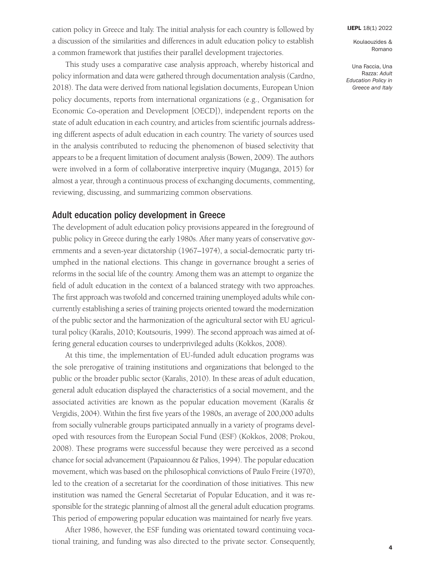Una Faccia, Una Razza: *Adult Education Policy in Greece and Italy*

cation policy in Greece and Italy. The initial analysis for each country is followed by a discussion of the similarities and differences in adult education policy to establish a common framework that justifies their parallel development trajectories.

This study uses a comparative case analysis approach, whereby historical and policy information and data were gathered through documentation analysis (Cardno, 2018). The data were derived from national legislation documents, European Union policy documents, reports from international organizations (e.g., Organisation for Economic Co-operation and Development [OECD]), independent reports on the state of adult education in each country, and articles from scientific journals addressing different aspects of adult education in each country. The variety of sources used in the analysis contributed to reducing the phenomenon of biased selectivity that appears to be a frequent limitation of document analysis (Bowen, 2009). The authors were involved in a form of collaborative interpretive inquiry (Muganga, 2015) for almost a year, through a continuous process of exchanging documents, commenting, reviewing, discussing, and summarizing common observations.

### Adult education policy development in Greece

The development of adult education policy provisions appeared in the foreground of public policy in Greece during the early 1980s. After many years of conservative governments and a seven-year dictatorship (1967–1974), a social-democratic party triumphed in the national elections. This change in governance brought a series of reforms in the social life of the country. Among them was an attempt to organize the field of adult education in the context of a balanced strategy with two approaches. The first approach was twofold and concerned training unemployed adults while concurrently establishing a series of training projects oriented toward the modernization of the public sector and the harmonization of the agricultural sector with EU agricultural policy (Karalis, 2010; Koutsouris, 1999). The second approach was aimed at offering general education courses to underprivileged adults (Kokkos, 2008).

At this time, the implementation of EU-funded adult education programs was the sole prerogative of training institutions and organizations that belonged to the public or the broader public sector (Karalis, 2010). In these areas of adult education, general adult education displayed the characteristics of a social movement, and the associated activities are known as the popular education movement (Karalis & Vergidis, 2004). Within the first five years of the 1980s, an average of 200,000 adults from socially vulnerable groups participated annually in a variety of programs developed with resources from the European Social Fund (ESF) (Kokkos, 2008; Prokou, 2008). These programs were successful because they were perceived as a second chance for social advancement (Papaioannou & Palios, 1994). The popular education movement, which was based on the philosophical convictions of Paulo Freire (1970), led to the creation of a secretariat for the coordination of those initiatives. This new institution was named the General Secretariat of Popular Education, and it was responsible for the strategic planning of almost all the general adult education programs. This period of empowering popular education was maintained for nearly five years.

After 1986, however, the ESF funding was orientated toward continuing vocational training, and funding was also directed to the private sector. Consequently,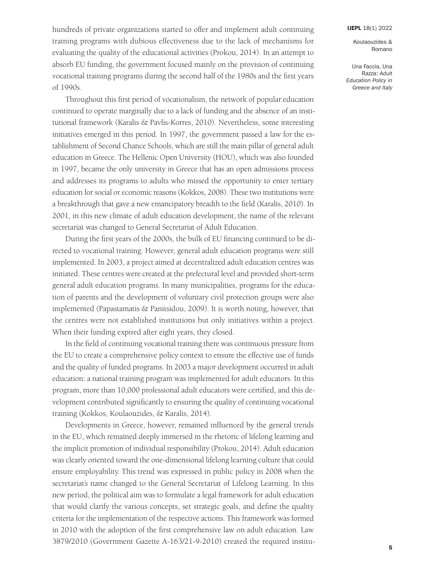Koulaouzides & Romano

Una Faccia, Una Razza: *Adult Education Policy in Greece and Italy*

hundreds of private organizations started to offer and implement adult continuing training programs with dubious effectiveness due to the lack of mechanisms for evaluating the quality of the educational activities (Prokou, 2014). In an attempt to absorb EU funding, the government focused mainly on the provision of continuing vocational training programs during the second half of the 1980s and the first years of 1990s.

Throughout this first period of vocationalism, the network of popular education continued to operate marginally due to a lack of funding and the absence of an institutional framework (Karalis & Pavlis-Korres, 2010). Nevertheless, some interesting initiatives emerged in this period. In 1997, the government passed a law for the establishment of Second Chance Schools, which are still the main pillar of general adult education in Greece. The Hellenic Open University (HOU), which was also founded in 1997, became the only university in Greece that has an open admissions process and addresses its programs to adults who missed the opportunity to enter tertiary education for social or economic reasons (Kokkos, 2008). These two institutions were a breakthrough that gave a new emancipatory breadth to the field (Karalis, 2010). In 2001, in this new climate of adult education development, the name of the relevant secretariat was changed to General Secretariat of Adult Education.

During the first years of the 2000s, the bulk of EU financing continued to be directed to vocational training. However, general adult education programs were still implemented. In 2003, a project aimed at decentralized adult education centres was initiated. These centres were created at the prefectural level and provided short-term general adult education programs. In many municipalities, programs for the education of parents and the development of voluntary civil protection groups were also implemented (Papastamatis & Panitsidou, 2009). It is worth noting, however, that the centres were not established institutions but only initiatives within a project. When their funding expired after eight years, they closed.

In the field of continuing vocational training there was continuous pressure from the EU to create a comprehensive policy context to ensure the effective use of funds and the quality of funded programs. In 2003 a major development occurred in adult education: a national training program was implemented for adult educators. In this program, more than 10,000 professional adult educators were certified, and this development contributed significantly to ensuring the quality of continuing vocational training (Kokkos, Koulaouzides, & Karalis, 2014).

Developments in Greece, however, remained influenced by the general trends in the EU, which remained deeply immersed in the rhetoric of lifelong learning and the implicit promotion of individual responsibility (Prokou, 2014). Adult education was clearly oriented toward the one-dimensional lifelong learning culture that could ensure employability. This trend was expressed in public policy in 2008 when the secretariat's name changed to the General Secretariat of Lifelong Learning. In this new period, the political aim was to formulate a legal framework for adult education that would clarify the various concepts, set strategic goals, and define the quality criteria for the implementation of the respective actions. This framework was formed in 2010 with the adoption of the first comprehensive law on adult education. Law 3879/2010 (Government Gazette A-163/21-9-2010) created the required institu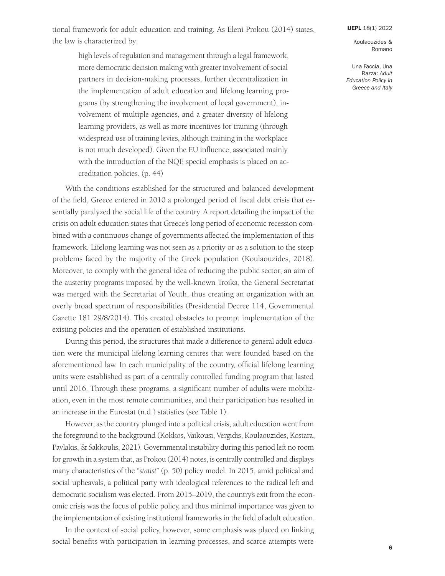tional framework for adult education and training. As Eleni Prokou (2014) states, the law is characterized by:

high levels of regulation and management through a legal framework, more democratic decision making with greater involvement of social

partners in decision-making processes, further decentralization in the implementation of adult education and lifelong learning programs (by strengthening the involvement of local government), involvement of multiple agencies, and a greater diversity of lifelong learning providers, as well as more incentives for training (through widespread use of training levies, although training in the workplace is not much developed). Given the EU influence, associated mainly with the introduction of the NQF, special emphasis is placed on accreditation policies. (p. 44)

With the conditions established for the structured and balanced development of the field, Greece entered in 2010 a prolonged period of fiscal debt crisis that essentially paralyzed the social life of the country. A report detailing the impact of the crisis on adult education states that Greece's long period of economic recession combined with a continuous change of governments affected the implementation of this framework. Lifelong learning was not seen as a priority or as a solution to the steep problems faced by the majority of the Greek population (Koulaouzides, 2018). Moreover, to comply with the general idea of reducing the public sector, an aim of the austerity programs imposed by the well-known Troika, the General Secretariat was merged with the Secretariat of Youth, thus creating an organization with an overly broad spectrum of responsibilities (Presidential Decree 114, Governmental Gazette 181 29/8/2014). This created obstacles to prompt implementation of the existing policies and the operation of established institutions.

During this period, the structures that made a difference to general adult education were the municipal lifelong learning centres that were founded based on the aforementioned law. In each municipality of the country, official lifelong learning units were established as part of a centrally controlled funding program that lasted until 2016. Through these programs, a significant number of adults were mobilization, even in the most remote communities, and their participation has resulted in an increase in the Eurostat (n.d.) statistics (see Table 1).

However, as the country plunged into a political crisis, adult education went from the foreground to the background (Kokkos, Vaikousi, Vergidis, Koulaouzides, Kostara, Pavlakis, & Sakkoulis, 2021). Governmental instability during this period left no room for growth in a system that, as Prokou (2014) notes, is centrally controlled and displays many characteristics of the "*statist*" (p. 50) policy model. In 2015, amid political and social upheavals, a political party with ideological references to the radical left and democratic socialism was elected. From 2015–2019, the country's exit from the economic crisis was the focus of public policy, and thus minimal importance was given to the implementation of existing institutional frameworks in the field of adult education.

In the context of social policy, however, some emphasis was placed on linking social benefits with participation in learning processes, and scarce attempts were

[IJEPL](http://www.ijepl.org) 18(1) 2022

Koulaouzides & Romano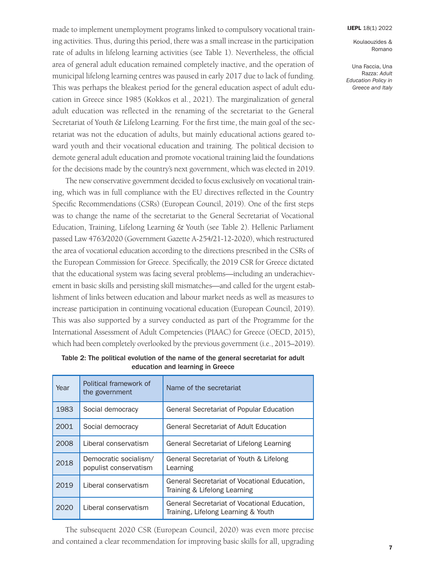Una Faccia, Una Razza: *Adult Education Policy in Greece and Italy*

made to implement unemployment programs linked to compulsory vocational training activities. Thus, during this period, there was a small increase in the participation rate of adults in lifelong learning activities (see Table 1). Nevertheless, the official area of general adult education remained completely inactive, and the operation of municipal lifelong learning centres was paused in early 2017 due to lack of funding. This was perhaps the bleakest period for the general education aspect of adult education in Greece since 1985 (Kokkos et al., 2021). The marginalization of general adult education was reflected in the renaming of the secretariat to the General Secretariat of Youth & Lifelong Learning. For the first time, the main goal of the secretariat was not the education of adults, but mainly educational actions geared toward youth and their vocational education and training. The political decision to demote general adult education and promote vocational training laid the foundations for the decisions made by the country's next government, which was elected in 2019.

The new conservative government decided to focus exclusively on vocational training, which was in full compliance with the EU directives reflected in the Country Specific Recommendations (CSRs) (European Council, 2019). One of the first steps was to change the name of the secretariat to the General Secretariat of Vocational Education, Training, Lifelong Learning & Youth (see Table 2). Hellenic Parliament passed Law 4763/2020 (Government Gazette A-254/21-12-2020), which restructured the area of vocational education according to the directions prescribed in the CSRs of the European Commission for Greece. Specifically, the 2019 CSR for Greece dictated that the educational system was facing several problems—including an underachievement in basic skills and persisting skill mismatches—and called for the urgent establishment of links between education and labour market needs as well as measures to increase participation in continuing vocational education (European Council, 2019). This was also supported by a survey conducted as part of the Programme for the International Assessment of Adult Competencies (PIAAC) for Greece (OECD, 2015), which had been completely overlooked by the previous government (i.e., 2015–2019).

| Year | Political framework of<br>the government       | Name of the secretariat                                                             |  |  |  |
|------|------------------------------------------------|-------------------------------------------------------------------------------------|--|--|--|
| 1983 | Social democracy                               | General Secretariat of Popular Education                                            |  |  |  |
| 2001 | Social democracy                               | General Secretariat of Adult Education                                              |  |  |  |
| 2008 | Liberal conservatism                           | General Secretariat of Lifelong Learning                                            |  |  |  |
| 2018 | Democratic socialism/<br>populist conservatism | General Secretariat of Youth & Lifelong<br>Learning                                 |  |  |  |
| 2019 | Liberal conservatism                           | General Secretariat of Vocational Education,<br>Training & Lifelong Learning        |  |  |  |
| 2020 | Liberal conservatism                           | General Secretariat of Vocational Education,<br>Training, Lifelong Learning & Youth |  |  |  |

Table 2: The political evolution of the name of the general secretariat for adult education and learning in Greece

The subsequent 2020 CSR (European Council, 2020) was even more precise and contained a clear recommendation for improving basic skills for all, upgrading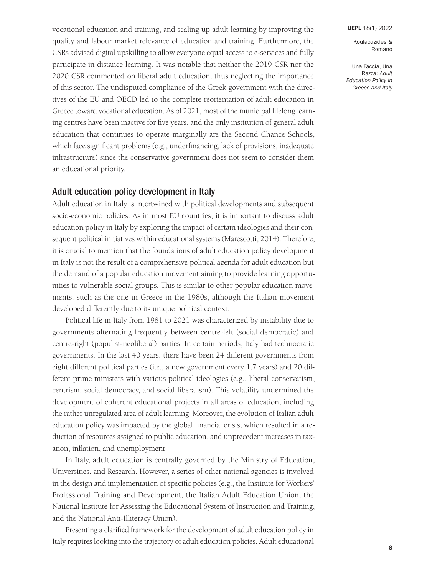Koulaouzides & Romano

Una Faccia, Una Razza: *Adult Education Policy in Greece and Italy*

vocational education and training, and scaling up adult learning by improving the quality and labour market relevance of education and training. Furthermore, the CSRs advised digital upskilling to allow everyone equal access to e-services and fully participate in distance learning. It was notable that neither the 2019 CSR nor the 2020 CSR commented on liberal adult education, thus neglecting the importance of this sector. The undisputed compliance of the Greek government with the directives of the EU and OECD led to the complete reorientation of adult education in Greece toward vocational education. As of 2021, most of the municipal lifelong learning centres have been inactive for five years, and the only institution of general adult education that continues to operate marginally are the Second Chance Schools, which face significant problems (e.g., underfinancing, lack of provisions, inadequate infrastructure) since the conservative government does not seem to consider them an educational priority.

### Adult education policy development in Italy

Adult education in Italy is intertwined with political developments and subsequent socio-economic policies. As in most EU countries, it is important to discuss adult education policy in Italy by exploring the impact of certain ideologies and their consequent political initiatives within educational systems (Marescotti, 2014). Therefore, it is crucial to mention that the foundations of adult education policy development in Italy is not the result of a comprehensive political agenda for adult education but the demand of a popular education movement aiming to provide learning opportunities to vulnerable social groups. This is similar to other popular education movements, such as the one in Greece in the 1980s, although the Italian movement developed differently due to its unique political context.

Political life in Italy from 1981 to 2021 was characterized by instability due to governments alternating frequently between centre-left (social democratic) and centre-right (populist-neoliberal) parties. In certain periods, Italy had technocratic governments. In the last 40 years, there have been 24 different governments from eight different political parties (i.e., a new government every 1.7 years) and 20 different prime ministers with various political ideologies (e.g., liberal conservatism, centrism, social democracy, and social liberalism). This volatility undermined the development of coherent educational projects in all areas of education, including the rather unregulated area of adult learning. Moreover, the evolution of Italian adult education policy was impacted by the global financial crisis, which resulted in a reduction of resources assigned to public education, and unprecedent increases in taxation, inflation, and unemployment.

In Italy, adult education is centrally governed by the Ministry of Education, Universities, and Research. However, a series of other national agencies is involved in the design and implementation of specific policies (e.g., the Institute for Workers' Professional Training and Development, the Italian Adult Education Union, the National Institute for Assessing the Educational System of Instruction and Training, and the National Anti-Illiteracy Union).

Presenting a clarified framework for the development of adult education policy in Italy requires looking into the trajectory of adult education policies. Adult educational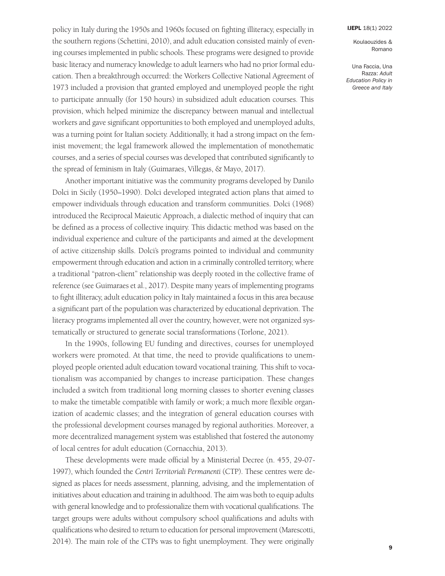Koulaouzides & Romano

Una Faccia, Una Razza: *Adult Education Policy in Greece and Italy*

policy in Italy during the 1950s and 1960s focused on fighting illiteracy, especially in the southern regions (Schettini, 2010), and adult education consisted mainly of evening courses implemented in public schools. These programs were designed to provide basic literacy and numeracy knowledge to adult learners who had no prior formal education. Then a breakthrough occurred: the Workers Collective National Agreement of 1973 included a provision that granted employed and unemployed people the right to participate annually (for 150 hours) in subsidized adult education courses. This provision, which helped minimize the discrepancy between manual and intellectual workers and gave significant opportunities to both employed and unemployed adults, was a turning point for Italian society. Additionally, it had a strong impact on the feminist movement; the legal framework allowed the implementation of monothematic courses, and a series of special courses was developed that contributed significantly to the spread of feminism in Italy (Guimaraes, Villegas, & Mayo, 2017).

Another important initiative was the community programs developed by Danilo Dolci in Sicily (1950–1990). Dolci developed integrated action plans that aimed to empower individuals through education and transform communities. Dolci (1968) introduced the Reciprocal Maieutic Approach, a dialectic method of inquiry that can be defined as a process of collective inquiry. This didactic method was based on the individual experience and culture of the participants and aimed at the development of active citizenship skills. Dolci's programs pointed to individual and community empowerment through education and action in a criminally controlled territory, where a traditional "patron-client" relationship was deeply rooted in the collective frame of reference (see Guimaraes et al., 2017). Despite many years of implementing programs to fight illiteracy, adult education policy in Italy maintained a focus in this area because a significant part of the population was characterized by educational deprivation. The literacy programs implemented all over the country, however, were not organized systematically or structured to generate social transformations (Torlone, 2021).

In the 1990s, following EU funding and directives, courses for unemployed workers were promoted. At that time, the need to provide qualifications to unemployed people oriented adult education toward vocational training. This shift to vocationalism was accompanied by changes to increase participation. These changes included a switch from traditional long morning classes to shorter evening classes to make the timetable compatible with family or work; a much more flexible organization of academic classes; and the integration of general education courses with the professional development courses managed by regional authorities. Moreover, a more decentralized management system was established that fostered the autonomy of local centres for adult education (Cornacchia, 2013).

These developments were made official by a Ministerial Decree (n. 455, 29-07- 1997), which founded the *Centri Territoriali Permanenti* (CTP). These centres were designed as places for needs assessment, planning, advising, and the implementation of initiatives about education and training in adulthood. The aim was both to equip adults with general knowledge and to professionalize them with vocational qualifications. The target groups were adults without compulsory school qualifications and adults with qualifications who desired to return to education for personal improvement (Marescotti, 2014). The main role of the CTPs was to fight unemployment. They were originally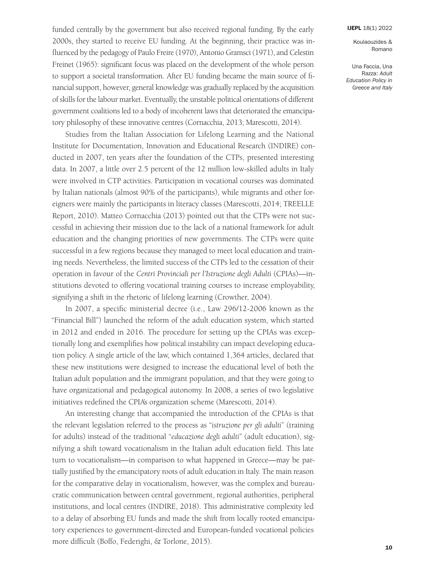Koulaouzides & Romano

Una Faccia, Una Razza: *Adult Education Policy in Greece and Italy*

funded centrally by the government but also received regional funding. By the early 2000s, they started to receive EU funding. At the beginning, their practice was influenced by the pedagogy of Paulo Freire (1970), Antonio Gramsci (1971), and Celestin Freinet (1965): significant focus was placed on the development of the whole person to support a societal transformation. After EU funding became the main source of financial support, however, general knowledge was gradually replaced by the acquisition of skills for the labour market. Eventually, the unstable political orientations of different government coalitions led to a body of incoherent laws that deteriorated the emancipatory philosophy of these innovative centres (Cornacchia, 2013; Marescotti, 2014).

Studies from the Italian Association for Lifelong Learning and the National Institute for Documentation, Innovation and Educational Research (INDIRE) conducted in 2007, ten years after the foundation of the CTPs, presented interesting data. In 2007, a little over 2.5 percent of the 12 million low-skilled adults in Italy were involved in CTP activities. Participation in vocational courses was dominated by Italian nationals (almost 90% of the participants), while migrants and other foreigners were mainly the participants in literacy classes (Marescotti, 2014; TREELLE Report, 2010). Matteo Cornacchia (2013) pointed out that the CTPs were not successful in achieving their mission due to the lack of a national framework for adult education and the changing priorities of new governments. The CTPs were quite successful in a few regions because they managed to meet local education and training needs. Nevertheless, the limited success of the CTPs led to the cessation of their operation in favour of the *Centri Provinciali per l'Istruzione degli Adulti* (CPIAs)—institutions devoted to offering vocational training courses to increase employability, signifying a shift in the rhetoric of lifelong learning (Crowther, 2004).

In 2007, a specific ministerial decree (i.e., Law 296/12-2006 known as the "Financial Bill") launched the reform of the adult education system, which started in 2012 and ended in 2016. The procedure for setting up the CPIAs was exceptionally long and exemplifies how political instability can impact developing education policy. A single article of the law, which contained 1,364 articles, declared that these new institutions were designed to increase the educational level of both the Italian adult population and the immigrant population, and that they were going to have organizational and pedagogical autonomy. In 2008, a series of two legislative initiatives redefined the CPIA's organization scheme (Marescotti, 2014).

An interesting change that accompanied the introduction of the CPIAs is that the relevant legislation referred to the process as "*istruzione per gli adulti*" (training for adults) instead of the traditional "*educazione degli adulti*" (adult education), signifying a shift toward vocationalism in the Italian adult education field. This late turn to vocationalism—in comparison to what happened in Greece—may be partially justified by the emancipatory roots of adult education in Italy. The main reason for the comparative delay in vocationalism, however, was the complex and bureaucratic communication between central government, regional authorities, peripheral institutions, and local centres (INDIRE, 2018). This administrative complexity led to a delay of absorbing EU funds and made the shift from locally rooted emancipatory experiences to government-directed and European-funded vocational policies more difficult (Boffo, Federighi, & Torlone, 2015).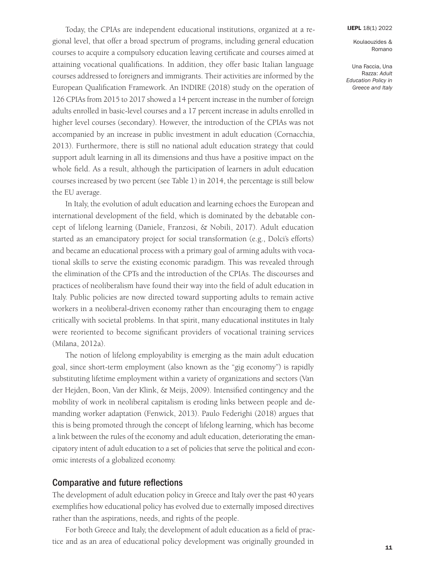Una Faccia, Una Razza: *Adult Education Policy in Greece and Italy*

Today, the CPIAs are independent educational institutions, organized at a regional level, that offer a broad spectrum of programs, including general education courses to acquire a compulsory education leaving certificate and courses aimed at attaining vocational qualifications. In addition, they offer basic Italian language courses addressed to foreigners and immigrants. Their activities are informed by the European Qualification Framework. An INDIRE (2018) study on the operation of 126 CPIAs from 2015 to 2017 showed a 14 percent increase in the number of foreign adults enrolled in basic-level courses and a 17 percent increase in adults enrolled in higher level courses (secondary). However, the introduction of the CPIAs was not accompanied by an increase in public investment in adult education (Cornacchia, 2013). Furthermore, there is still no national adult education strategy that could support adult learning in all its dimensions and thus have a positive impact on the whole field. As a result, although the participation of learners in adult education courses increased by two percent (see Table 1) in 2014, the percentage is still below the EU average.

In Italy, the evolution of adult education and learning echoes the European and international development of the field, which is dominated by the debatable concept of lifelong learning (Daniele, Franzosi, & Nobili, 2017). Adult education started as an emancipatory project for social transformation (e.g., Dolci's efforts) and became an educational process with a primary goal of arming adults with vocational skills to serve the existing economic paradigm. This was revealed through the elimination of the CPTs and the introduction of the CPIAs. The discourses and practices of neoliberalism have found their way into the field of adult education in Italy. Public policies are now directed toward supporting adults to remain active workers in a neoliberal-driven economy rather than encouraging them to engage critically with societal problems. In that spirit, many educational institutes in Italy were reoriented to become significant providers of vocational training services (Milana, 2012a).

The notion of lifelong employability is emerging as the main adult education goal, since short-term employment (also known as the "gig economy") is rapidly substituting lifetime employment within a variety of organizations and sectors (Van der Hejden, Boon, Van der Klink, & Meijs, 2009). Intensified contingency and the mobility of work in neoliberal capitalism is eroding links between people and demanding worker adaptation (Fenwick, 2013). Paulo Federighi (2018) argues that this is being promoted through the concept of lifelong learning, which has become a link between the rules of the economy and adult education, deteriorating the emancipatory intent of adult education to a set of policies that serve the political and economic interests of a globalized economy.

### Comparative and future reflections

The development of adult education policy in Greece and Italy over the past 40 years exemplifies how educational policy has evolved due to externally imposed directives rather than the aspirations, needs, and rights of the people.

For both Greece and Italy, the development of adult education as a field of practice and as an area of educational policy development was originally grounded in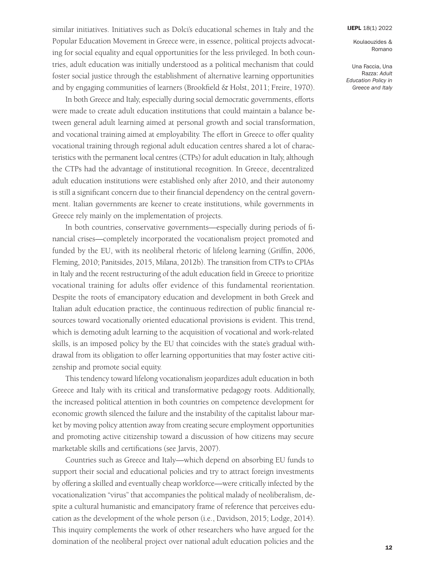Koulaouzides & Romano

Una Faccia, Una Razza: *Adult Education Policy in Greece and Italy*

similar initiatives. Initiatives such as Dolci's educational schemes in Italy and the Popular Education Movement in Greece were, in essence, political projects advocating for social equality and equal opportunities for the less privileged. In both countries, adult education was initially understood as a political mechanism that could foster social justice through the establishment of alternative learning opportunities and by engaging communities of learners (Brookfield & Holst, 2011; Freire, 1970).

In both Greece and Italy, especially during social democratic governments, efforts were made to create adult education institutions that could maintain a balance between general adult learning aimed at personal growth and social transformation, and vocational training aimed at employability. The effort in Greece to offer quality vocational training through regional adult education centres shared a lot of characteristics with the permanent local centres (CTPs) for adult education in Italy, although the CTPs had the advantage of institutional recognition. In Greece, decentralized adult education institutions were established only after 2010, and their autonomy is still a significant concern due to their financial dependency on the central government. Italian governments are keener to create institutions, while governments in Greece rely mainly on the implementation of projects.

In both countries, conservative governments—especially during periods of financial crises—completely incorporated the vocationalism project promoted and funded by the EU, with its neoliberal rhetoric of lifelong learning (Griffin, 2006, Fleming, 2010; Panitsides, 2015, Milana, 2012b). The transition from CTPs to CPIAs in Italy and the recent restructuring of the adult education field in Greece to prioritize vocational training for adults offer evidence of this fundamental reorientation. Despite the roots of emancipatory education and development in both Greek and Italian adult education practice, the continuous redirection of public financial resources toward vocationally oriented educational provisions is evident. This trend, which is demoting adult learning to the acquisition of vocational and work-related skills, is an imposed policy by the EU that coincides with the state's gradual withdrawal from its obligation to offer learning opportunities that may foster active citizenship and promote social equity.

This tendency toward lifelong vocationalism jeopardizes adult education in both Greece and Italy with its critical and transformative pedagogy roots. Additionally, the increased political attention in both countries on competence development for economic growth silenced the failure and the instability of the capitalist labour market by moving policy attention away from creating secure employment opportunities and promoting active citizenship toward a discussion of how citizens may secure marketable skills and certifications (see Jarvis, 2007).

Countries such as Greece and Italy—which depend on absorbing EU funds to support their social and educational policies and try to attract foreign investments by offering a skilled and eventually cheap workforce—were critically infected by the vocationalization "virus" that accompanies the political malady of neoliberalism, despite a cultural humanistic and emancipatory frame of reference that perceives education as the development of the whole person (i.e., Davidson, 2015; Lodge, 2014). This inquiry complements the work of other researchers who have argued for the domination of the neoliberal project over national adult education policies and the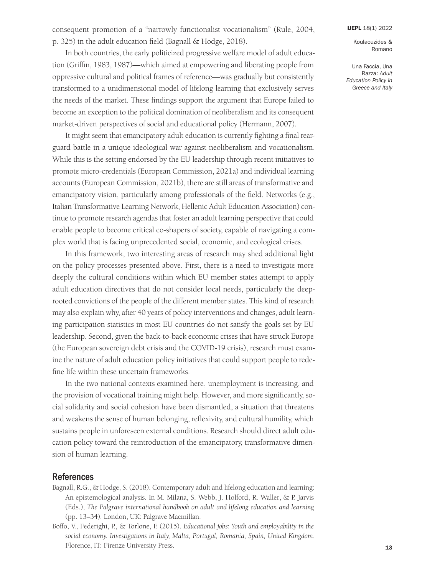consequent promotion of a "narrowly functionalist vocationalism" (Rule, 2004, p. 325) in the adult education field (Bagnall & Hodge, 2018).

#### [IJEPL](http://www.ijepl.org) 18(1) 2022

Koulaouzides & Romano

Una Faccia, Una Razza: *Adult Education Policy in Greece and Italy*

In both countries, the early politicized progressive welfare model of adult education (Griffin, 1983, 1987)—which aimed at empowering and liberating people from oppressive cultural and political frames of reference—was gradually but consistently transformed to a unidimensional model of lifelong learning that exclusively serves the needs of the market. These findings support the argument that Europe failed to become an exception to the political domination of neoliberalism and its consequent market-driven perspectives of social and educational policy (Hermann, 2007).

It might seem that emancipatory adult education is currently fighting a final rearguard battle in a unique ideological war against neoliberalism and vocationalism. While this is the setting endorsed by the EU leadership through recent initiatives to promote micro-credentials (European Commission, 2021a) and individual learning accounts (European Commission, 2021b), there are still areas of transformative and emancipatory vision, particularly among professionals of the field. Networks (e.g., Italian Transformative Learning Network, Hellenic Adult Education Association) continue to promote research agendas that foster an adult learning perspective that could enable people to become critical co-shapers of society, capable of navigating a complex world that is facing unprecedented social, economic, and ecological crises.

In this framework, two interesting areas of research may shed additional light on the policy processes presented above. First, there is a need to investigate more deeply the cultural conditions within which EU member states attempt to apply adult education directives that do not consider local needs, particularly the deeprooted convictions of the people of the different member states. This kind of research may also explain why, after 40 years of policy interventions and changes, adult learning participation statistics in most EU countries do not satisfy the goals set by EU leadership. Second, given the back-to-back economic crises that have struck Europe (the European sovereign debt crisis and the COVID-19 crisis), research must examine the nature of adult education policy initiatives that could support people to redefine life within these uncertain frameworks.

In the two national contexts examined here, unemployment is increasing, and the provision of vocational training might help. However, and more significantly, social solidarity and social cohesion have been dismantled, a situation that threatens and weakens the sense of human belonging, reflexivity, and cultural humility, which sustains people in unforeseen external conditions. Research should direct adult education policy toward the reintroduction of the emancipatory, transformative dimension of human learning.

### References

- Bagnall, R.G., & Hodge, S. (2018). Contemporary adult and lifelong education and learning: An epistemological analysis. In M. Milana, S. Webb, J. Holford, R. Waller, & P. Jarvis (Eds.), *The Palgrave international handbook on adult and lifelong education and learning* (pp. 13–34). London, UK: Palgrave Macmillan.
- Boffo, V., Federighi, P., & Torlone, F. (2015). *Educational jobs: Youth and employability in the social economy. Investigations in Italy, Malta, Portugal, Romania, Spain, United Kingdom*. Florence, IT: Firenze University Press.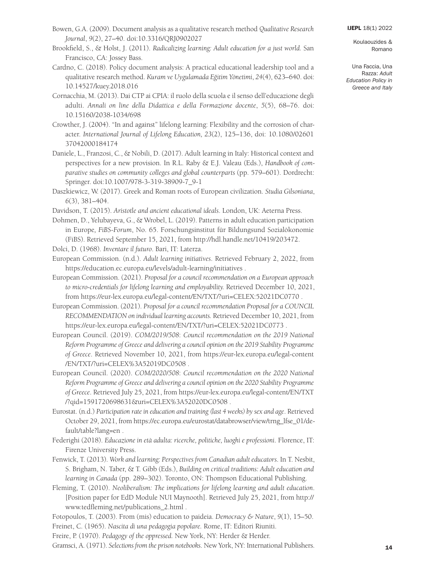- Bowen, G.A. (2009). Document analysis as a qualitative research method *Qualitative Research Journal*, *9*(2), 27–40. doi[:10.3316/QRJ0902027](https://doi.org/10.3316/QRJ0902027)
- Brookfield, S., & Holst, J. (2011). *Radicalizing learning: Adult education for a just world.* San Francisco, CA: Jossey Bass.
- Cardno, C. (2018). Policy document analysis: A practical educational leadership tool and a qualitative research method. *Kuram ve Uygulamada Eg˘itim Yönetimi*, *24*(4), 623–640. doi: [10.14527/kuey.2018.016](https://doi.org/10.14527/kuey.2018.016)
- Cornacchia, M. (2013). Dai CTP ai CPIA: il ruolo della scuola e il senso dell'educazione degli adulti. *Annali on line della Didattica e della Formazione docente*, *5*(5), 68–76. doi: [10.15160/2038-1034/698](http://dx.doi.org/10.15160/2038-1034/698)
- Crowther, J. (2004). "In and against" lifelong learning: Flexibility and the corrosion of character. *International Journal of Lifelong Education, 23*(2), 125–136, doi: [10.1080/02601](http://dx.doi.org/10.1080/0260137042000184174)  [37042000184174](http://dx.doi.org/10.1080/0260137042000184174)
- Daniele, L., Franzosi, C., & Nobili, D. (2017). Adult learning in Italy: Historical context and perspectives for a new provision. In R.L. Raby & E.J. Valeau (Eds.), *Handbook of comparative studies on community colleges and global counterparts* (pp. 579–601). Dordrecht: Springer. doi[:10.1007/978-3-319-38909-7\\_9-1](https://doi.org/10.1007/978-3-319-38909-7_9-1)
- Daszkiewicz, W. (2017). Greek and Roman roots of European civilization. *Studia Gilsoniana*, *6*(3), 381–404.
- Davidson, T. (2015). *Aristotle and ancient educational ideals*. London, UK: Aeterna Press.
- Dohmen, D., Yelubayeva, G., & Wrobel, L. (2019). Patterns in adult education participation in Europe*, FiBS-Forum*, No. 65. Forschungsinstitut für Bildungsund Sozialökonomie (FiBS). Retrieved September 15, 2021, from [http://hdl.handle.net/10419/203472.](http://hdl.handle.net/10419/203472)
- Dolci, D. (1968). *Inventare il futuro*. Bari, IT: Laterza.
- European Commission. (n.d.). *Adult learning initiatives*. Retrieved February 2, 2022, from <https://education.ec.europa.eu/levels/adult-learning/initiatives>.
- European Commission. (2021). *Proposal for a council recommendation on a European approach to micro-credentials for lifelong learning and employability.* Retrieved December 10, 2021, from<https://eur-lex.europa.eu/legal-content/EN/TXT/?uri=CELEX:52021DC0770>.
- European Commission. (2021). *Proposal for a council recommendation Proposal for a COUNCIL RECOMMENDATION on individual learning accounts.* Retrieved December 10, 2021, from <https://eur-lex.europa.eu/legal-content/EN/TXT/?uri=CELEX:52021DC0773>.
- European Council. (2019). *COM/2019/508*: *Council recommendation on the 2019 National Reform Programme of Greece and delivering a council opinion on the 2019 Stability Programme of Greece*. Retrieved November 10, 2021, from [https://eur-lex.europa.eu/legal-content](https://eur-lex.europa.eu/legal-content/EN/TXT/?uri=CELEX%3A52019DC0508)  [/EN/TXT/?uri=CELEX%3A52019DC0508](https://eur-lex.europa.eu/legal-content/EN/TXT/?uri=CELEX%3A52019DC0508) .
- European Council. (2020). *COM/2020/508*: *Council recommendation on the 2020 National Reform Programme of Greece and delivering a council opinion on the 2020 Stability Programme of Greece*. Retrieved July 25, 2021, from [https://eur-lex.europa.eu/legal-content/EN/TXT](https://eur-lex.europa.eu/legal-content/EN/TXT/?qid=1591720698631&uri=CELEX%3A52020DC0508)  [/?qid=1591720698631&uri=CELEX%3A52020DC0508](https://eur-lex.europa.eu/legal-content/EN/TXT/?qid=1591720698631&uri=CELEX%3A52020DC0508) .
- Eurostat. (n.d.) *Participation rate in education and training (last 4 weeks) by sex and age*. Retrieved October 29, 2021, from [https://ec.europa.eu/eurostat/databrowser/view/trng\\_lfse\\_01/de](https://ec.europa.eu/eurostat/databrowser/view/trng_lfse_01/default/table?lang=en)[fault/table?lang=en](https://ec.europa.eu/eurostat/databrowser/view/trng_lfse_01/default/table?lang=en) .
- Federighi (2018). *Educazione in età adulta: ricerche, politiche, luoghi e professioni*. Florence, IT: Firenze University Press.
- Fenwick, T. (2013). *Work and learning: Perspectives from Canadian adult educators*. In T. Nesbit, S. Brigham, N. Taber, & T. Gibb (Eds.), *Building on critical traditions: Adult education and learning in Canada* (pp. 289–302). Toronto, ON: Thompson Educational Publishing.
- Fleming, T. (2010). *Neoliberalism: The implications for lifelong learning and adult education*. [Position paper for EdD Module NUI Maynooth]. Retrieved July 25, 2021, from [http://](http://www.tedfleming.net/publications_2.html)  [www.tedfleming.net/publications\\_2.html](http://www.tedfleming.net/publications_2.html) .
- Fotopoulos, T. (2003). From (mis) education to paideia. *Democracy & Nature*, *9*(1), 15–50.

Freinet, C. (1965). *Nascita di una pedagogia popolare.* Rome, IT: Editori Riuniti.

- Freire, P. (1970). *Pedagogy of the oppressed.* New York, NY: Herder & Herder.
- Gramsci, A. (1971). *Selections from the prison notebooks*. New York, NY: International Publishers.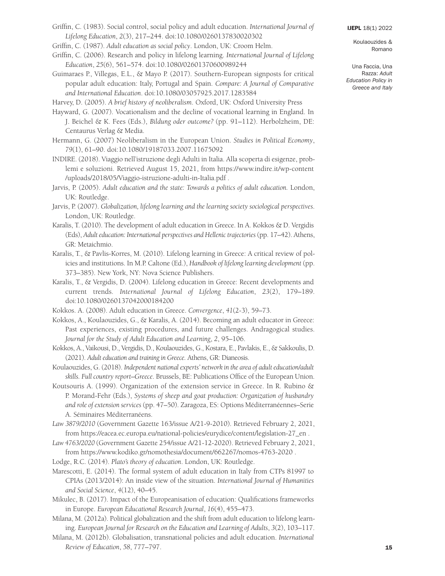- Griffin, C. (1983). Social control, social policy and adult education. *International Journal of Lifelong Education*, *2*(3), 217–244. doi[:10.1080/0260137830020302](https://doi.org/10.1080/0260137830020302)
- Griffin, C. (1987). *Adult education as social policy*. London, UK: Croom Helm.
- Griffin, C. (2006). Research and policy in lifelong learning. *International Journal of Lifelong Education*, *25*(6), 561–574. doi[:10.1080/02601370600989244](https://doi.org/10.1080/02601370600989244)
- Guimaraes P., Villegas, E.L., & Mayo P. (2017). Southern-European signposts for critical popular adult education: Italy, Portugal and Spain. *Compare: A Journal of Comparative and International Education*. doi[:10.1080/03057925.2017.1283584](https://doi.org/10.1080/03057925.2017.1283584)

Harvey, D. (2005). *A brief history of neoliberalism*. Oxford, UK: Oxford University Press

- Hayward, G. (2007). Vocationalism and the decline of vocational learning in England. In J. Beichel & K. Fees (Eds.), *Bildung oder outcome?* (pp. 91–112). Herbolzheim, DE: Centaurus Verlag & Media.
- Hermann, G. (2007) Neoliberalism in the European Union. *Studies in Political Economy*, *79*(1), 61–90. doi[:10.1080/19187033.2007.11675092](https://doi.org/10.1080/19187033.2007.11675092)
- INDIRE. (2018). Viaggio nell'istruzione degli Adulti in Italia. Alla scoperta di esigenze, problemi e soluzioni. Retrieved August 15, 2021, from [https://www.indire.it/wp-content](https://www.indire.it/wp-content/uploads/2018/05/Viaggio-istruzione-adulti-in-Italia.pdf)  [/uploads/2018/05/Viaggio-istruzione-adulti-in-Italia.pdf](https://www.indire.it/wp-content/uploads/2018/05/Viaggio-istruzione-adulti-in-Italia.pdf) .
- Jarvis, P. (2005). *Adult education and the state: Towards a politics of adult education.* London, UK: Routledge.
- Jarvis, P. (2007). *Globalization, lifelong learning and the learning society sociological perspectives*. London, UK: Routledge.
- Karalis, T. (2010). The development of adult education in Greece. In A. Kokkos & D. Vergidis (Eds), *Adult education: International perspectives and Hellenic trajectories* (pp. 17–42). Athens, GR: Metaichmio.
- Karalis, T., & Pavlis-Korres, M. (2010). Lifelong learning in Greece: A critical review of policies and institutions. In M.P. Caltone (Ed.), *Handbook of lifelong learning development* (pp. 373–385). New York, NY: Nova Science Publishers.
- Karalis, T., & Vergidis, D. (2004). Lifelong education in Greece: Recent developments and current trends. *International Journal of Lifelong Education*, *23*(2), 179–189. doi[:10.1080/0260137042000184200](https://doi.org/10.1080/0260137042000184200)
- Kokkos. A. (2008). Adult education in Greece. *Convergence*, *41*(2-3), 59–73.
- Kokkos, A., Koulaouzides, G., & Karalis, A. (2014). Becoming an adult educator in Greece: Past experiences, existing procedures, and future challenges. Andragogical studies. *Journal for the Study of Adult Education and Learning*, *2*, 95–106.
- Kokkos, A., Vaikousi, D., Vergidis, D., Koulaouzides, G., Kostara, E., Pavlakis, E., & Sakkoulis, D. (2021). *Adult education and training in Greece.* Athens, GR: Dianeosis.
- Koulaouzides, G. (2018). *Independent national experts' network in the area of adult education/adult skills. Full country report–Greece*. Brussels, BE: Publications Office of the European Union.
- Koutsouris A. (1999). Organization of the extension service in Greece. In R. Rubino & P. Morand-Fehr (Eds.), *Systems of sheep and goat production: Organization of husbandry and role of extension services* (pp. 47–50). Zaragoza, ES: Options Méditerranéennes–Serie A. Séminaires Méditerranéens.
- *Law 3879/2010* (Government Gazette 163/issue A/21-9-2010). Retrieved February 2, 2021, from [https://eacea.ec.europa.eu/national-policies/eurydice/content/legislation-27\\_en](https://eacea.ec.europa.eu/national-policies/eurydice/content/legislation-27_en) .
- *Law 4763/2020* (Government Gazette 254/issue A/21-12-2020). Retrieved February 2, 2021, from<https://www.kodiko.gr/nomothesia/document/662267/nomos-4763-2020>.
- Lodge, R.C. (2014). *Plato's theory of education*. London, UK: Routledge.
- Marescotti, E. (2014). The formal system of adult education in Italy from CTPs 81997 to CPIAs (2013/2014): An inside view of the situation. *International Journal of Humanities and Social Science*, *4*(12), 40–45.
- Mikulec, B. (2017). Impact of the Europeanisation of education: Qualifications frameworks in Europe. *European Educational Research Journal*, *16*(4), 455–473.
- Milana, M. (2012a). Political globalization and the shift from adult education to lifelong learning. *European Journal for Research on the Education and Learning of Adults*, *3*(2), 103–117.
- Milana, M. (2012b). Globalisation, transnational policies and adult education. *International Review of Education*, *58*, 777–797.

[IJEPL](http://www.ijepl.org) 18(1) 2022

Koulaouzides & Romano